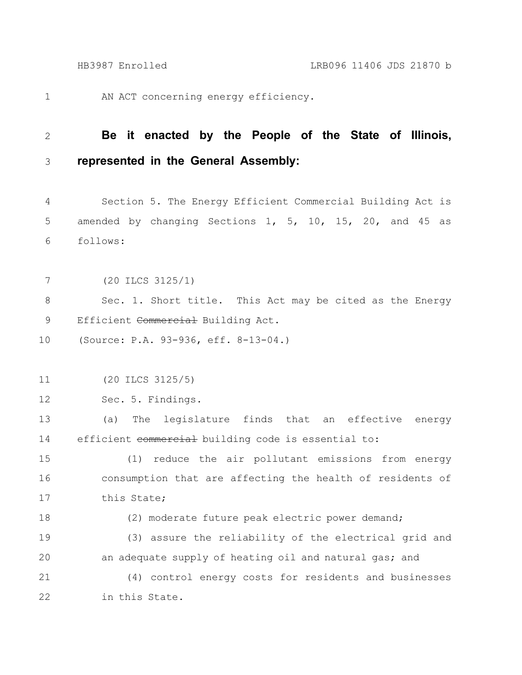1

AN ACT concerning energy efficiency.

## **Be it enacted by the People of the State of Illinois, represented in the General Assembly:** 2 3

Section 5. The Energy Efficient Commercial Building Act is amended by changing Sections 1, 5, 10, 15, 20, and 45 as follows: 4 5 6

(20 ILCS 3125/1) 7

Sec. 1. Short title. This Act may be cited as the Energy Efficient Commercial Building Act. 8 9

(Source: P.A. 93-936, eff. 8-13-04.) 10

(20 ILCS 3125/5) 11

Sec. 5. Findings. 12

(a) The legislature finds that an effective energy efficient commercial building code is essential to: 13 14

(1) reduce the air pollutant emissions from energy consumption that are affecting the health of residents of this State; 15 16 17

18

(2) moderate future peak electric power demand;

(3) assure the reliability of the electrical grid and an adequate supply of heating oil and natural gas; and 19 20

(4) control energy costs for residents and businesses in this State. 21 22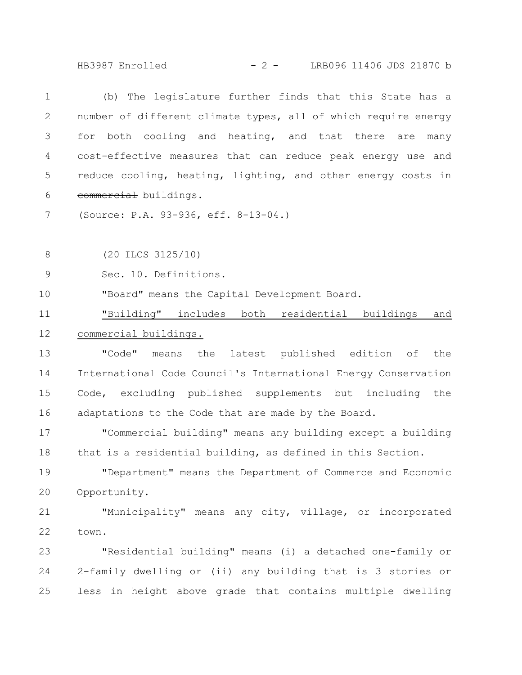HB3987 Enrolled - 2 - LRB096 11406 JDS 21870 b

| $\mathbf 1$               | (b) The legislature further finds that this State has a        |
|---------------------------|----------------------------------------------------------------|
| $\mathbf{2}^{\mathsf{I}}$ | number of different climate types, all of which require energy |
| 3                         | for both cooling and heating, and that there are<br>many       |
| 4                         | cost-effective measures that can reduce peak energy use and    |
| 5                         | reduce cooling, heating, lighting, and other energy costs in   |
| 6                         | commercial buildings.                                          |
| 7                         | (Source: P.A. 93-936, eff. 8-13-04.)                           |
|                           |                                                                |
| 8                         | $(20$ ILCS $3125/10)$                                          |
| $\mathsf 9$               | Sec. 10. Definitions.                                          |
| 10                        | "Board" means the Capital Development Board.                   |
| 11                        | "Building" includes both residential buildings<br>and          |
| 12                        | commercial buildings.                                          |
| 13                        | "Code"<br>means the latest published edition of<br>the         |
| 14                        | International Code Council's International Energy Conservation |
| 15                        | Code, excluding published supplements but including the        |
| 16                        | adaptations to the Code that are made by the Board.            |
| 17                        | "Commercial building" means any building except a building     |
| 18                        | that is a residential building, as defined in this Section.    |
| 19                        | "Department" means the Department of Commerce and Economic     |
| 20                        | Opportunity.                                                   |
| 21                        | "Municipality" means any city, village, or incorporated        |
| 22                        | town.                                                          |
| 23                        | "Residential building" means (i) a detached one-family or      |
| 24                        | 2-family dwelling or (ii) any building that is 3 stories or    |

less in height above grade that contains multiple dwelling 25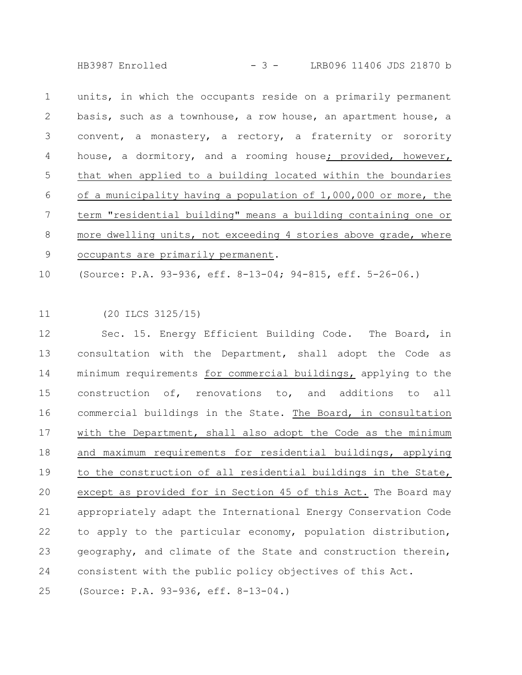HB3987 Enrolled - 3 - LRB096 11406 JDS 21870 b

units, in which the occupants reside on a primarily permanent basis, such as a townhouse, a row house, an apartment house, a convent, a monastery, a rectory, a fraternity or sorority house, a dormitory, and a rooming house; provided, however, that when applied to a building located within the boundaries of a municipality having a population of 1,000,000 or more, the term "residential building" means a building containing one or more dwelling units, not exceeding 4 stories above grade, where occupants are primarily permanent. 1 2 3 4 5 6 7 8 9

(Source: P.A. 93-936, eff. 8-13-04; 94-815, eff. 5-26-06.) 10

## (20 ILCS 3125/15) 11

Sec. 15. Energy Efficient Building Code. The Board, in consultation with the Department, shall adopt the Code as minimum requirements for commercial buildings, applying to the construction of, renovations to, and additions to all commercial buildings in the State. The Board, in consultation with the Department, shall also adopt the Code as the minimum and maximum requirements for residential buildings, applying to the construction of all residential buildings in the State, except as provided for in Section 45 of this Act. The Board may appropriately adapt the International Energy Conservation Code to apply to the particular economy, population distribution, geography, and climate of the State and construction therein, consistent with the public policy objectives of this Act. 12 13 14 15 16 17 18 19 20 21 22 23 24

(Source: P.A. 93-936, eff. 8-13-04.) 25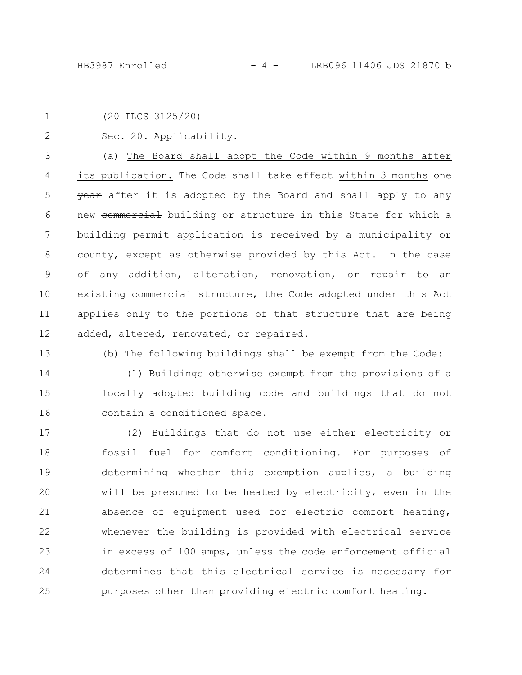(20 ILCS 3125/20) 1

Sec. 20. Applicability. 2

(a) The Board shall adopt the Code within 9 months after its publication. The Code shall take effect within 3 months one **year** after it is adopted by the Board and shall apply to any new commercial building or structure in this State for which a building permit application is received by a municipality or county, except as otherwise provided by this Act. In the case of any addition, alteration, renovation, or repair to an existing commercial structure, the Code adopted under this Act applies only to the portions of that structure that are being added, altered, renovated, or repaired. 3 4 5 6 7 8 9 10 11 12

13

(b) The following buildings shall be exempt from the Code:

(1) Buildings otherwise exempt from the provisions of a locally adopted building code and buildings that do not contain a conditioned space. 14 15 16

(2) Buildings that do not use either electricity or fossil fuel for comfort conditioning. For purposes of determining whether this exemption applies, a building will be presumed to be heated by electricity, even in the absence of equipment used for electric comfort heating, whenever the building is provided with electrical service in excess of 100 amps, unless the code enforcement official determines that this electrical service is necessary for purposes other than providing electric comfort heating. 17 18 19 20 21 22 23 24 25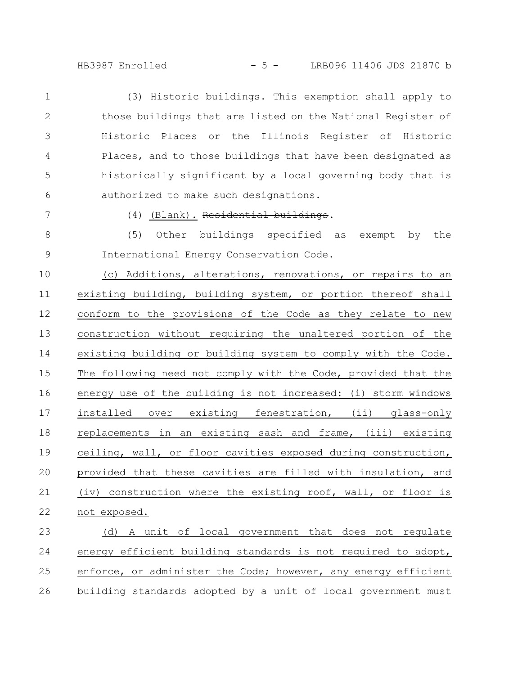## HB3987 Enrolled - 5 - LRB096 11406 JDS 21870 b

(3) Historic buildings. This exemption shall apply to those buildings that are listed on the National Register of Historic Places or the Illinois Register of Historic Places, and to those buildings that have been designated as historically significant by a local governing body that is authorized to make such designations. 1 2 3 4 5 6

7

(4) (Blank). Residential buildings.

(5) Other buildings specified as exempt by the International Energy Conservation Code. 8 9

(c) Additions, alterations, renovations, or repairs to an existing building, building system, or portion thereof shall conform to the provisions of the Code as they relate to new construction without requiring the unaltered portion of the existing building or building system to comply with the Code. The following need not comply with the Code, provided that the energy use of the building is not increased: (i) storm windows installed over existing fenestration, (ii) glass-only replacements in an existing sash and frame, (iii) existing ceiling, wall, or floor cavities exposed during construction, provided that these cavities are filled with insulation, and (iv) construction where the existing roof, wall, or floor is not exposed. 10 11 12 13 14 15 16 17 18 19 20 21 22

(d) A unit of local government that does not regulate energy efficient building standards is not required to adopt, enforce, or administer the Code; however, any energy efficient building standards adopted by a unit of local government must 23 24 25 26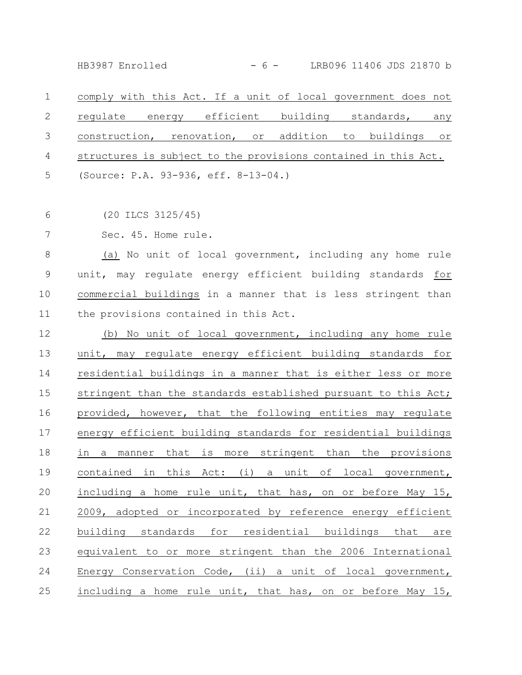HB3987 Enrolled - 6 - LRB096 11406 JDS 21870 b

comply with this Act. If a unit of local government does not regulate energy efficient building standards, any construction, renovation, or addition to buildings or structures is subject to the provisions contained in this Act. (Source: P.A. 93-936, eff. 8-13-04.) 1 2 3 4 5

(20 ILCS 3125/45) 6

Sec. 45. Home rule. 7

(a) No unit of local government, including any home rule unit, may regulate energy efficient building standards for commercial buildings in a manner that is less stringent than the provisions contained in this Act. 8 9 10 11

(b) No unit of local government, including any home rule unit, may regulate energy efficient building standards for residential buildings in a manner that is either less or more stringent than the standards established pursuant to this Act; provided, however, that the following entities may regulate energy efficient building standards for residential buildings in a manner that is more stringent than the provisions contained in this Act: (i) a unit of local government, including a home rule unit, that has, on or before May 15, 2009, adopted or incorporated by reference energy efficient building standards for residential buildings that are equivalent to or more stringent than the 2006 International Energy Conservation Code, (ii) a unit of local government, including a home rule unit, that has, on or before May 15, 12 13 14 15 16 17 18 19 20 21 22 23 24 25